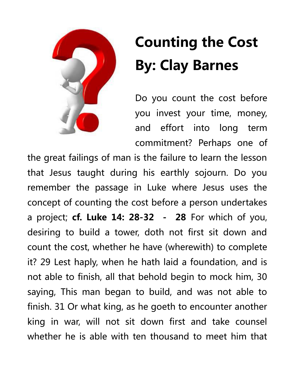

## **Counting the Cost By: Clay Barnes**

Do you count the cost before you invest your time, money, and effort into long term commitment? Perhaps one of

the great failings of man is the failure to learn the lesson that Jesus taught during his earthly sojourn. Do you remember the passage in Luke where Jesus uses the concept of counting the cost before a person undertakes a project; **cf. Luke 14: 28-32 - 28** For which of you, desiring to build a tower, doth not first sit down and count the cost, whether he have (wherewith) to complete it? 29 Lest haply, when he hath laid a foundation, and is not able to finish, all that behold begin to mock him, 30 saying, This man began to build, and was not able to finish. 31 Or what king, as he goeth to encounter another king in war, will not sit down first and take counsel whether he is able with ten thousand to meet him that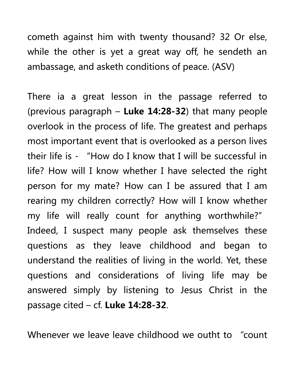cometh against him with twenty thousand? 32 Or else, while the other is yet a great way off, he sendeth an ambassage, and asketh conditions of peace. (ASV)

There ia a great lesson in the passage referred to (previous paragraph – **Luke 14:28-32**) that many people overlook in the process of life. The greatest and perhaps most important event that is overlooked as a person lives their life is - "How do I know that I will be successful in life? How will I know whether I have selected the right person for my mate? How can I be assured that I am rearing my children correctly? How will I know whether my life will really count for anything worthwhile?" Indeed, I suspect many people ask themselves these questions as they leave childhood and began to understand the realities of living in the world. Yet, these questions and considerations of living life may be answered simply by listening to Jesus Christ in the passage cited – cf. **Luke 14:28-32**.

Whenever we leave leave childhood we outht to "count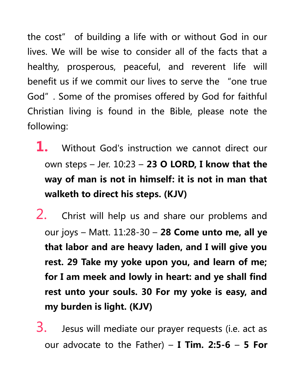the cost" of building a life with or without God in our lives. We will be wise to consider all of the facts that a healthy, prosperous, peaceful, and reverent life will benefit us if we commit our lives to serve the "one true God". Some of the promises offered by God for faithful Christian living is found in the Bible, please note the following:

- **1.** Without God's instruction we cannot direct our own steps – Jer. 10:23 – **23 O LORD, I know that the way of man is not in himself: it is not in man that walketh to direct his steps. (KJV)**
- 2. Christ will help us and share our problems and our joys – Matt. 11:28-30 – **28 Come unto me, all ye that labor and are heavy laden, and I will give you rest. 29 Take my yoke upon you, and learn of me; for I am meek and lowly in heart: and ye shall find rest unto your souls. 30 For my yoke is easy, and my burden is light. (KJV)**

 $3.$  Jesus will mediate our prayer requests (i.e. act as our advocate to the Father) – **I Tim. 2:5-6** – **5 For**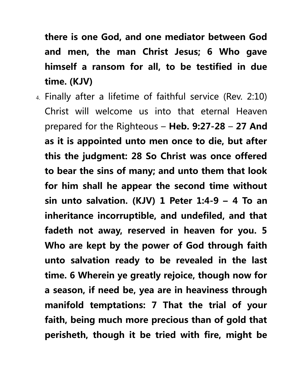**there is one God, and one mediator between God and men, the man Christ Jesus; 6 Who gave himself a ransom for all, to be testified in due time. (KJV)**

4. Finally after a lifetime of faithful service (Rev. 2:10) Christ will welcome us into that eternal Heaven prepared for the Righteous – **Heb. 9:27-28** – **27 And as it is appointed unto men once to die, but after this the judgment: 28 So Christ was once offered to bear the sins of many; and unto them that look for him shall he appear the second time without sin unto salvation. (KJV) 1 Peter 1:4-9 – 4 To an inheritance incorruptible, and undefiled, and that fadeth not away, reserved in heaven for you. 5 Who are kept by the power of God through faith unto salvation ready to be revealed in the last time. 6 Wherein ye greatly rejoice, though now for a season, if need be, yea are in heaviness through manifold temptations: 7 That the trial of your faith, being much more precious than of gold that perisheth, though it be tried with fire, might be**